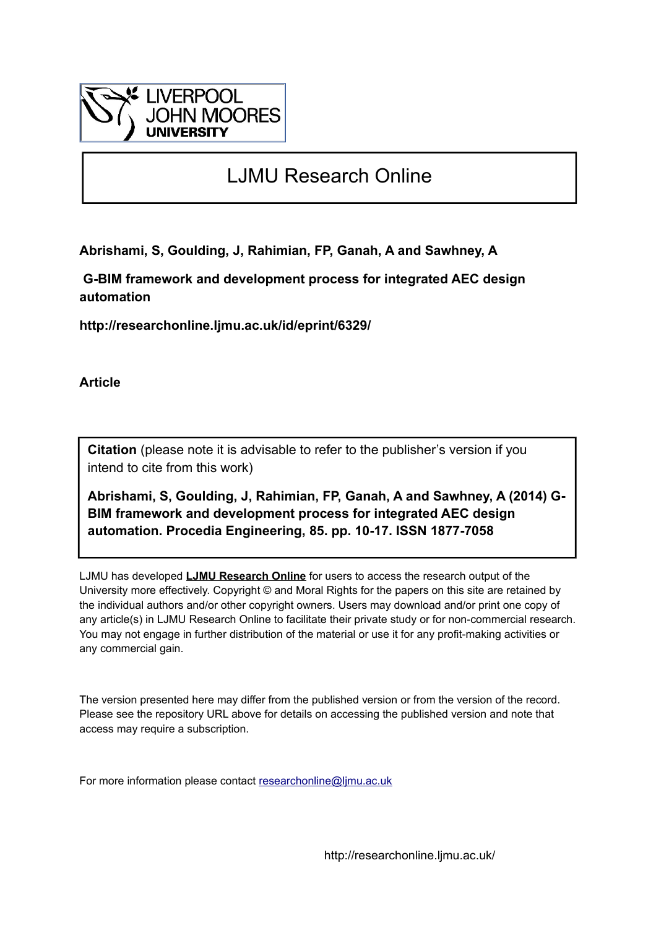

# LJMU Research Online

**Abrishami, S, Goulding, J, Rahimian, FP, Ganah, A and Sawhney, A**

 **G-BIM framework and development process for integrated AEC design automation**

**http://researchonline.ljmu.ac.uk/id/eprint/6329/**

**Article**

**Citation** (please note it is advisable to refer to the publisher's version if you intend to cite from this work)

**Abrishami, S, Goulding, J, Rahimian, FP, Ganah, A and Sawhney, A (2014) G-BIM framework and development process for integrated AEC design automation. Procedia Engineering, 85. pp. 10-17. ISSN 1877-7058** 

LJMU has developed **[LJMU Research Online](http://researchonline.ljmu.ac.uk/)** for users to access the research output of the University more effectively. Copyright © and Moral Rights for the papers on this site are retained by the individual authors and/or other copyright owners. Users may download and/or print one copy of any article(s) in LJMU Research Online to facilitate their private study or for non-commercial research. You may not engage in further distribution of the material or use it for any profit-making activities or any commercial gain.

The version presented here may differ from the published version or from the version of the record. Please see the repository URL above for details on accessing the published version and note that access may require a subscription.

For more information please contact [researchonline@ljmu.ac.uk](mailto:researchonline@ljmu.ac.uk)

http://researchonline.ljmu.ac.uk/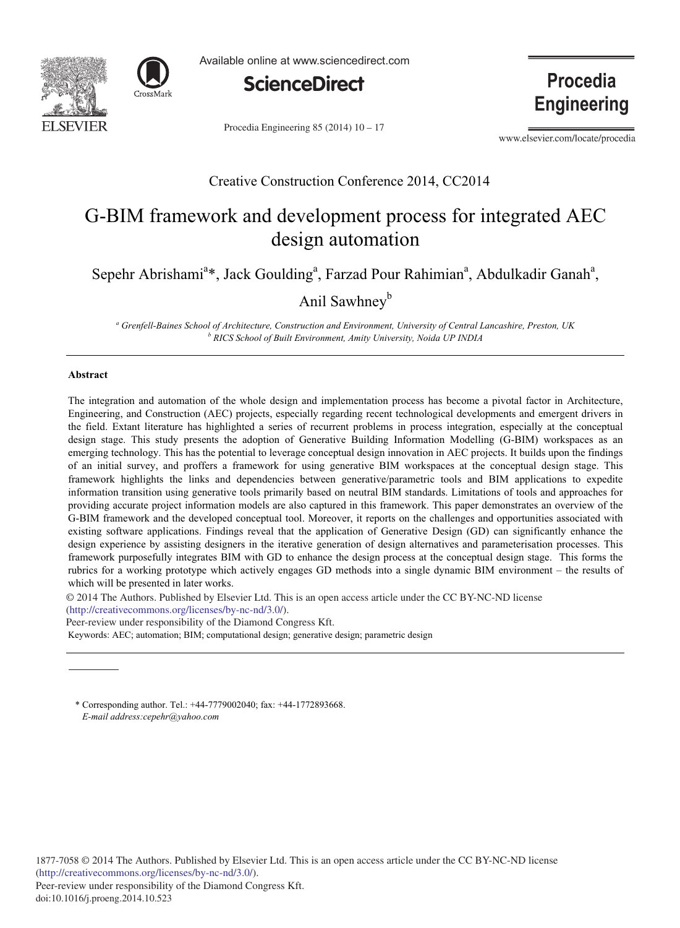



Available online at www.sciencedirect.com



Procedia Engineering 85 (2014)  $10 - 17$ 

**Procedia Engineering** 

www.elsevier.com/locate/procedia

## Creative Construction Conference 2014, CC2014

## G-BIM framework and development process for integrated AEC design automation

Sepehr Abrishami<sup>a</sup>\*, Jack Goulding<sup>a</sup>, Farzad Pour Rahimian<sup>a</sup>, Abdulkadir Ganah<sup>a</sup>,

Anil Sawhney<sup>b</sup>

<sup>a</sup> Grenfell-Baines School of Architecture, Construction and Environment, University of Central Lancashire, Preston, UK<br><sup>b</sup> PICS School of Puilt Emvironment, Amity University, Noide UP IND14  *RICS School of Built Environment, Amity University, Noida UP INDIA* 

#### **Abstract**

The integration and automation of the whole design and implementation process has become a pivotal factor in Architecture, Engineering, and Construction (AEC) projects, especially regarding recent technological developments and emergent drivers in the field. Extant literature has highlighted a series of recurrent problems in process integration, especially at the conceptual design stage. This study presents the adoption of Generative Building Information Modelling (G-BIM) workspaces as an emerging technology. This has the potential to leverage conceptual design innovation in AEC projects. It builds upon the findings of an initial survey, and proffers a framework for using generative BIM workspaces at the conceptual design stage. This framework highlights the links and dependencies between generative/parametric tools and BIM applications to expedite information transition using generative tools primarily based on neutral BIM standards. Limitations of tools and approaches for providing accurate project information models are also captured in this framework. This paper demonstrates an overview of the G-BIM framework and the developed conceptual tool. Moreover, it reports on the challenges and opportunities associated with existing software applications. Findings reveal that the application of Generative Design (GD) can significantly enhance the design experience by assisting designers in the iterative generation of design alternatives and parameterisation processes. This framework purposefully integrates BIM with GD to enhance the design process at the conceptual design stage. This forms the rubrics for a working prototype which actively engages GD methods into a single dynamic BIM environment - the results of which will be presented in later works.

© 2014 The Authors. Published by Elsevier Ltd. This is an open access article under the CC BY-NC-ND license (http://creativecommons.org/licenses/by-nc-nd/3.0/).

Peer-review under responsibility of the Diamond Congress Kft.

Keywords: AEC; automation; BIM; computational design; generative design; parametric design

\* Corresponding author. Tel.: +44-7779002040; fax: +44-1772893668. *E-mail address:cepehr@yahoo.com*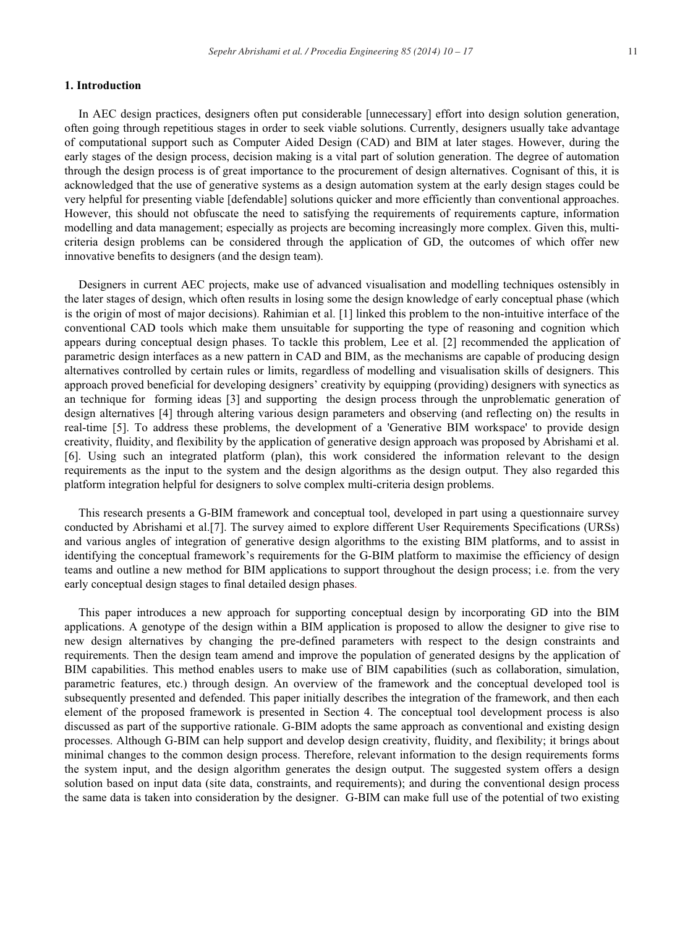#### 1. Introduction

In AEC design practices, designers often put considerable [unnecessary] effort into design solution generation, often going through repetitious stages in order to seek viable solutions. Currently, designers usually take advantage of computational support such as Computer Aided Design (CAD) and BIM at later stages. However, during the early stages of the design process, decision making is a vital part of solution generation. The degree of automation through the design process is of great importance to the procurement of design alternatives. Cognisant of this, it is acknowledged that the use of generative systems as a design automation system at the early design stages could be very helpful for presenting viable [defendable] solutions quicker and more efficiently than conventional approaches. However, this should not obfuscate the need to satisfying the requirements of requirements capture, information modelling and data management; especially as projects are becoming increasingly more complex. Given this, multicriteria design problems can be considered through the application of GD, the outcomes of which offer new innovative benefits to designers (and the design team).

Designers in current AEC projects, make use of advanced visualisation and modelling techniques ostensibly in the later stages of design, which often results in losing some the design knowledge of early conceptual phase (which is the origin of most of major decisions). Rahimian et al. [1] linked this problem to the non-intuitive interface of the conventional CAD tools which make them unsuitable for supporting the type of reasoning and cognition which appears during conceptual design phases. To tackle this problem, Lee et al. [2] recommended the application of parametric design interfaces as a new pattern in CAD and BIM, as the mechanisms are capable of producing design alternatives controlled by certain rules or limits, regardless of modelling and visualisation skills of designers. This approach proved beneficial for developing designers' creativity by equipping (providing) designers with synectics as an technique for forming ideas [3] and supporting the design process through the unproblematic generation of design alternatives [4] through altering various design parameters and observing (and reflecting on) the results in real-time [5]. To address these problems, the development of a 'Generative BIM workspace' to provide design creativity, fluidity, and flexibility by the application of generative design approach was proposed by Abrishami et al. [6]. Using such an integrated platform (plan), this work considered the information relevant to the design requirements as the input to the system and the design algorithms as the design output. They also regarded this platform integration helpful for designers to solve complex multi-criteria design problems.

This research presents a G-BIM framework and conceptual tool, developed in part using a questionnaire survey conducted by Abrishami et al. [7]. The survey aimed to explore different User Requirements Specifications (URSs) and various angles of integration of generative design algorithms to the existing BIM platforms, and to assist in identifying the conceptual framework's requirements for the G-BIM platform to maximise the efficiency of design teams and outline a new method for BIM applications to support throughout the design process; i.e. from the very early conceptual design stages to final detailed design phases.

This paper introduces a new approach for supporting conceptual design by incorporating GD into the BIM applications. A genotype of the design within a BIM application is proposed to allow the designer to give rise to new design alternatives by changing the pre-defined parameters with respect to the design constraints and requirements. Then the design team amend and improve the population of generated designs by the application of BIM capabilities. This method enables users to make use of BIM capabilities (such as collaboration, simulation, parametric features, etc.) through design. An overview of the framework and the conceptual developed tool is subsequently presented and defended. This paper initially describes the integration of the framework, and then each element of the proposed framework is presented in Section 4. The conceptual tool development process is also discussed as part of the supportive rationale. G-BIM adopts the same approach as conventional and existing design processes. Although G-BIM can help support and develop design creativity, fluidity, and flexibility; it brings about minimal changes to the common design process. Therefore, relevant information to the design requirements forms the system input, and the design algorithm generates the design output. The suggested system offers a design solution based on input data (site data, constraints, and requirements); and during the conventional design process the same data is taken into consideration by the designer. G-BIM can make full use of the potential of two existing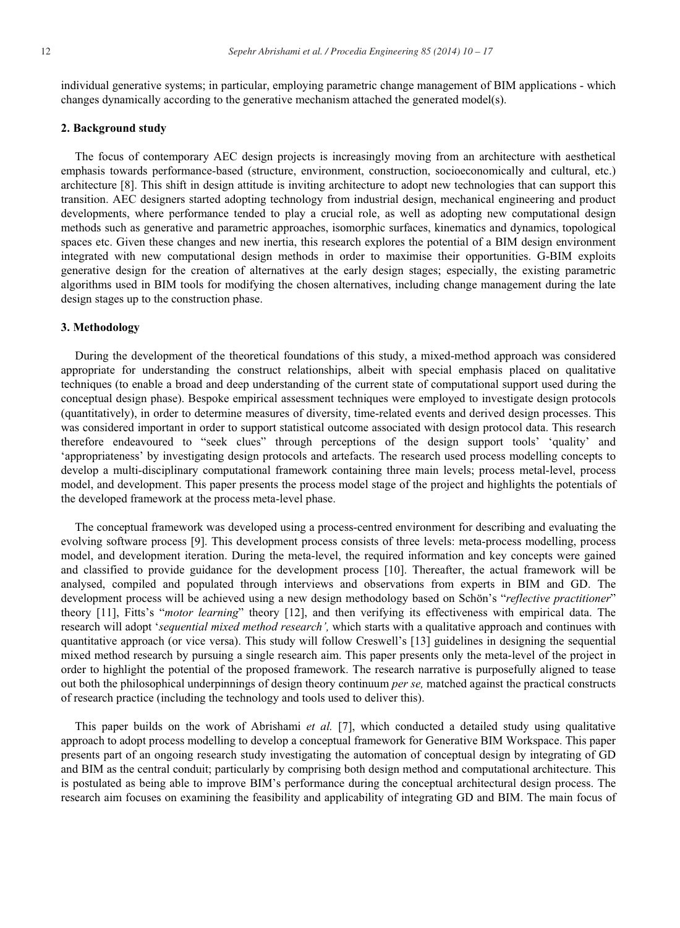individual generative systems; in particular, employing parametric change management of BIM applications - which changes dynamically according to the generative mechanism attached the generated model(s).

### **2. Background study**

The focus of contemporary AEC design projects is increasingly moving from an architecture with aesthetical emphasis towards performance-based (structure, environment, construction, socioeconomically and cultural, etc.) architecture [8]. This shift in design attitude is inviting architecture to adopt new technologies that can support this transition. AEC designers started adopting technology from industrial design, mechanical engineering and product developments, where performance tended to play a crucial role, as well as adopting new computational design methods such as generative and parametric approaches, isomorphic surfaces, kinematics and dynamics, topological spaces etc. Given these changes and new inertia, this research explores the potential of a BIM design environment integrated with new computational design methods in order to maximise their opportunities. G-BIM exploits generative design for the creation of alternatives at the early design stages; especially, the existing parametric algorithms used in BIM tools for modifying the chosen alternatives, including change management during the late design stages up to the construction phase.

#### 3. Methodology

During the development of the theoretical foundations of this study, a mixed-method approach was considered appropriate for understanding the construct relationships, albeit with special emphasis placed on qualitative techniques (to enable a broad and deep understanding of the current state of computational support used during the conceptual design phase). Bespoke empirical assessment techniques were employed to investigate design protocols (quantitatively), in order to determine measures of diversity, time-related events and derived design processes. This was considered important in order to support statistical outcome associated with design protocol data. This research therefore endeavoured to "seek clues" through perceptions of the design support tools' 'quality' and 'appropriateness' by investigating design protocols and artefacts. The research used process modelling concepts to develop a multi-disciplinary computational framework containing three main levels; process metal-level, process model, and development. This paper presents the process model stage of the project and highlights the potentials of the developed framework at the process meta-level phase.

The conceptual framework was developed using a process-centred environment for describing and evaluating the evolving software process [9]. This development process consists of three levels: meta-process modelling, process model, and development iteration. During the meta-level, the required information and key concepts were gained and classified to provide guidance for the development process [10]. Thereafter, the actual framework will be analysed, compiled and populated through interviews and observations from experts in BIM and GD. The development process will be achieved using a new design methodology based on Schön's "*reflective practitioner*" theory [11], Fitts's "motor learning" theory [12], and then verifying its effectiveness with empirical data. The research will adopt 'sequential mixed method research', which starts with a qualitative approach and continues with quantitative approach (or vice versa). This study will follow Creswell's [13] guidelines in designing the sequential mixed method research by pursuing a single research aim. This paper presents only the meta-level of the project in order to highlight the potential of the proposed framework. The research narrative is purposefully aligned to tease out both the philosophical underpinnings of design theory continuum *per se*, matched against the practical constructs of research practice (including the technology and tools used to deliver this).

This paper builds on the work of Abrishami et al. [7], which conducted a detailed study using qualitative approach to adopt process modelling to develop a conceptual framework for Generative BIM Workspace. This paper presents part of an ongoing research study investigating the automation of conceptual design by integrating of GD and BIM as the central conduit; particularly by comprising both design method and computational architecture. This is postulated as being able to improve BIM's performance during the conceptual architectural design process. The research aim focuses on examining the feasibility and applicability of integrating GD and BIM. The main focus of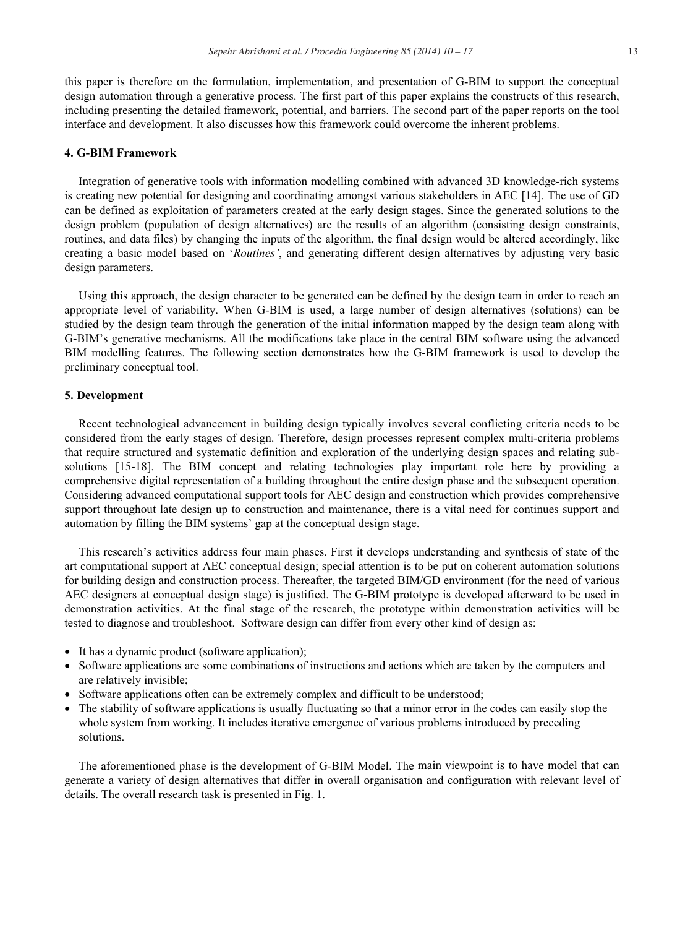this paper is therefore on the formulation, implementation, and presentation of G-BIM to support the conceptual design automation through a generative process. The first part of this paper explains the constructs of this research, including presenting the detailed framework, potential, and barriers. The second part of the paper reports on the tool interface and development. It also discusses how this framework could overcome the inherent problems.

#### 4. G-BIM Framework

Integration of generative tools with information modelling combined with advanced 3D knowledge-rich systems is creating new potential for designing and coordinating amongst various stakeholders in AEC [14]. The use of GD can be defined as exploitation of parameters created at the early design stages. Since the generated solutions to the design problem (population of design alternatives) are the results of an algorithm (consisting design constraints, routines, and data files) by changing the inputs of the algorithm, the final design would be altered accordingly, like creating a basic model based on 'Routines', and generating different design alternatives by adjusting very basic design parameters.

Using this approach, the design character to be generated can be defined by the design team in order to reach an appropriate level of variability. When G-BIM is used, a large number of design alternatives (solutions) can be studied by the design team through the generation of the initial information mapped by the design team along with G-BIM's generative mechanisms. All the modifications take place in the central BIM software using the advanced BIM modelling features. The following section demonstrates how the G-BIM framework is used to develop the preliminary conceptual tool.

#### 5. Development

Recent technological advancement in building design typically involves several conflicting criteria needs to be considered from the early stages of design. Therefore, design processes represent complex multi-criteria problems that require structured and systematic definition and exploration of the underlying design spaces and relating subsolutions [15-18]. The BIM concept and relating technologies play important role here by providing a comprehensive digital representation of a building throughout the entire design phase and the subsequent operation. Considering advanced computational support tools for AEC design and construction which provides comprehensive support throughout late design up to construction and maintenance, there is a vital need for continues support and automation by filling the BIM systems' gap at the conceptual design stage.

This research's activities address four main phases. First it develops understanding and synthesis of state of the art computational support at AEC conceptual design; special attention is to be put on coherent automation solutions for building design and construction process. Thereafter, the targeted BIM/GD environment (for the need of various AEC designers at conceptual design stage) is justified. The G-BIM prototype is developed afterward to be used in demonstration activities. At the final stage of the research, the prototype within demonstration activities will be tested to diagnose and troubleshoot. Software design can differ from every other kind of design as:

- It has a dynamic product (software application);
- Software applications are some combinations of instructions and actions which are taken by the computers and are relatively invisible;
- Software applications often can be extremely complex and difficult to be understood;
- The stability of software applications is usually fluctuating so that a minor error in the codes can easily stop the whole system from working. It includes iterative emergence of various problems introduced by preceding solutions.

The aforementioned phase is the development of G-BIM Model. The main viewpoint is to have model that can generate a variety of design alternatives that differ in overall organisation and configuration with relevant level of details. The overall research task is presented in Fig. 1.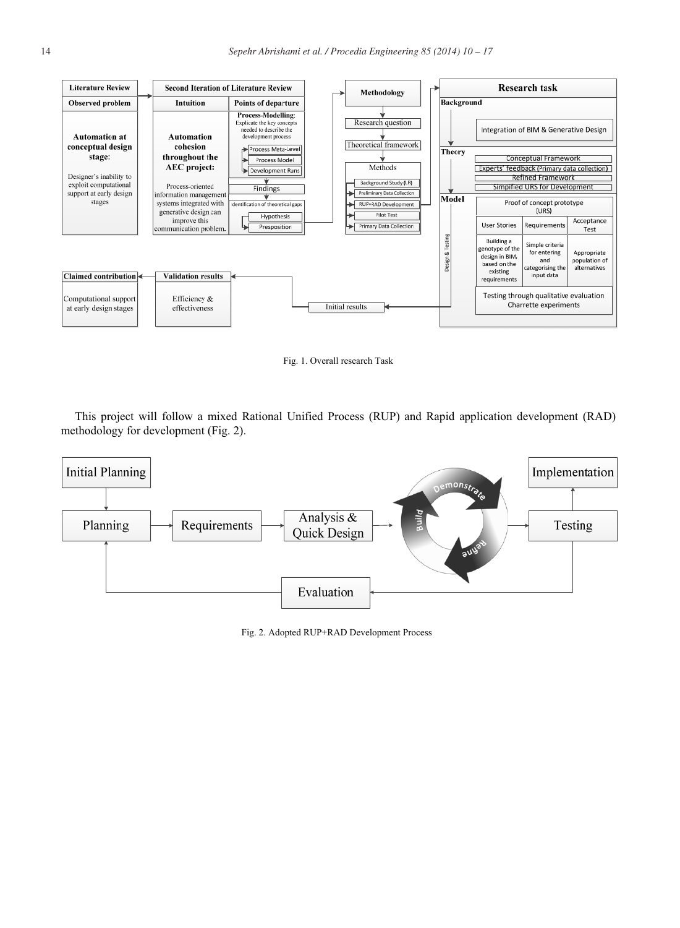

Fig. 1. Overall research Task

This project will follow a mixed Rational Unified Process (RUP) and Rapid application development (RAD) methodology for development (Fig. 2).



Fig. 2. Adopted RUP+RAD Development Process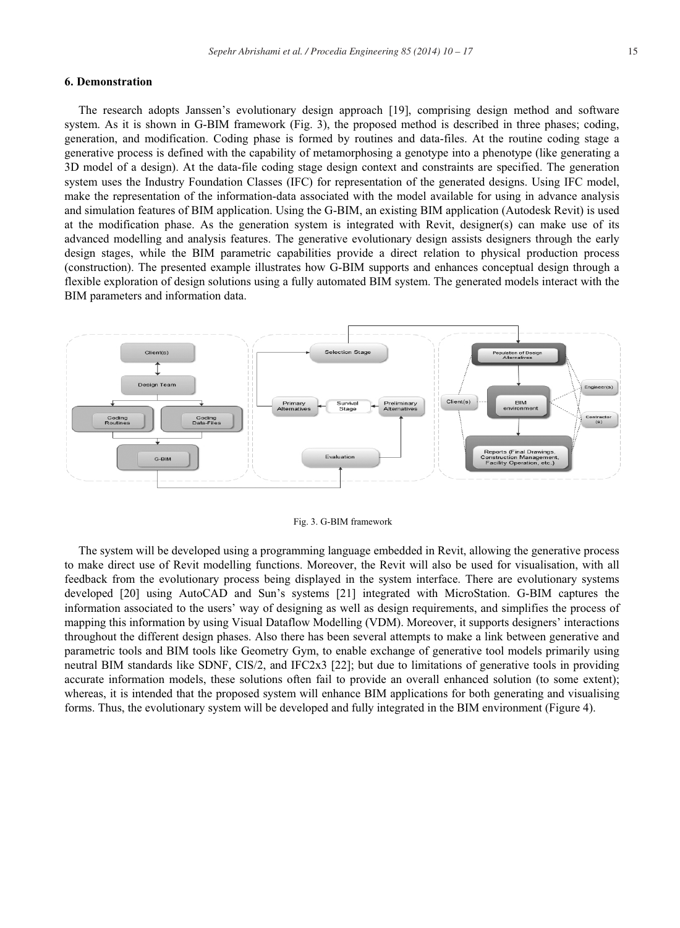#### 6. Demonstration

The research adopts Janssen's evolutionary design approach [19], comprising design method and software system. As it is shown in G-BIM framework (Fig. 3), the proposed method is described in three phases; coding, generation, and modification. Coding phase is formed by routines and data-files. At the routine coding stage a generative process is defined with the capability of metamorphosing a genotype into a phenotype (like generating a 3D model of a design). At the data-file coding stage design context and constraints are specified. The generation system uses the Industry Foundation Classes (IFC) for representation of the generated designs. Using IFC model, make the representation of the information-data associated with the model available for using in advance analysis and simulation features of BIM application. Using the G-BIM, an existing BIM application (Autodesk Revit) is used at the modification phase. As the generation system is integrated with Revit, designer(s) can make use of its advanced modelling and analysis features. The generative evolutionary design assists designers through the early design stages, while the BIM parametric capabilities provide a direct relation to physical production process (construction). The presented example illustrates how G-BIM supports and enhances conceptual design through a flexible exploration of design solutions using a fully automated BIM system. The generated models interact with the BIM parameters and information data.



Fig. 3. G-BIM framework

The system will be developed using a programming language embedded in Revit, allowing the generative process to make direct use of Revit modelling functions. Moreover, the Revit will also be used for visualisation, with all feedback from the evolutionary process being displayed in the system interface. There are evolutionary systems developed [20] using AutoCAD and Sun's systems [21] integrated with MicroStation. G-BIM captures the information associated to the users' way of designing as well as design requirements, and simplifies the process of mapping this information by using Visual Dataflow Modelling (VDM). Moreover, it supports designers' interactions throughout the different design phases. Also there has been several attempts to make a link between generative and parametric tools and BIM tools like Geometry Gym, to enable exchange of generative tool models primarily using neutral BIM standards like SDNF, CIS/2, and IFC2x3 [22]; but due to limitations of generative tools in providing accurate information models, these solutions often fail to provide an overall enhanced solution (to some extent); whereas, it is intended that the proposed system will enhance BIM applications for both generating and visualising forms. Thus, the evolutionary system will be developed and fully integrated in the BIM environment (Figure 4).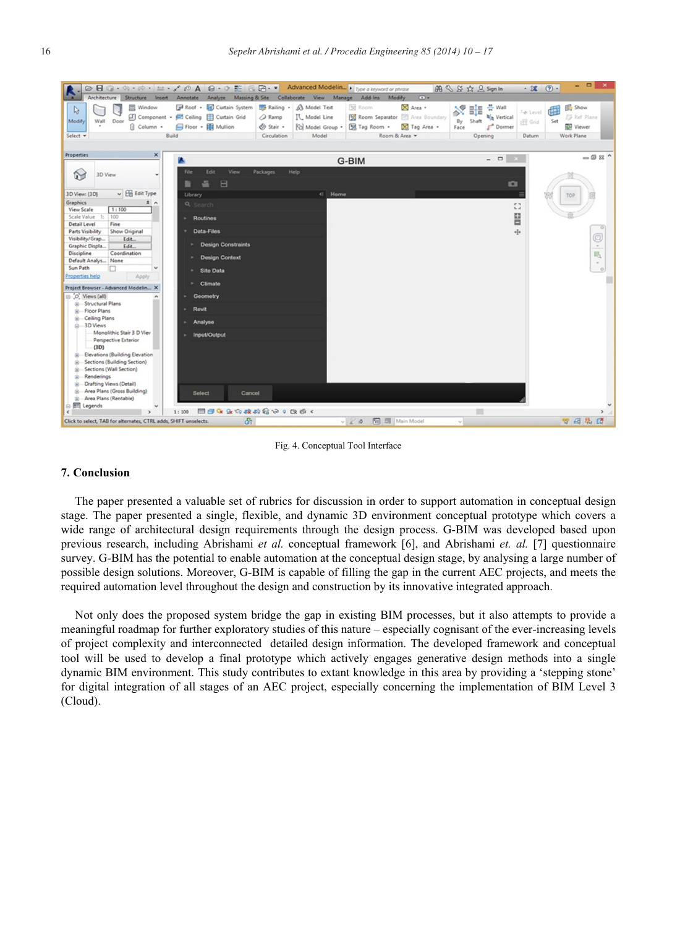

Fig. 4. Conceptual Tool Interface

#### 7. Conclusion

The paper presented a valuable set of rubrics for discussion in order to support automation in conceptual design stage. The paper presented a single, flexible, and dynamic 3D environment conceptual prototype which covers a wide range of architectural design requirements through the design process. G-BIM was developed based upon previous research, including Abrishami et al. conceptual framework [6], and Abrishami et. al. [7] questionnaire survey. G-BIM has the potential to enable automation at the conceptual design stage, by analysing a large number of possible design solutions. Moreover, G-BIM is capable of filling the gap in the current AEC projects, and meets the required automation level throughout the design and construction by its innovative integrated approach.

Not only does the proposed system bridge the gap in existing BIM processes, but it also attempts to provide a meaningful roadmap for further exploratory studies of this nature – especially cognisant of the ever-increasing levels of project complexity and interconnected detailed design information. The developed framework and conceptual tool will be used to develop a final prototype which actively engages generative design methods into a single dynamic BIM environment. This study contributes to extant knowledge in this area by providing a 'stepping stone' for digital integration of all stages of an AEC project, especially concerning the implementation of BIM Level 3 (Cloud).